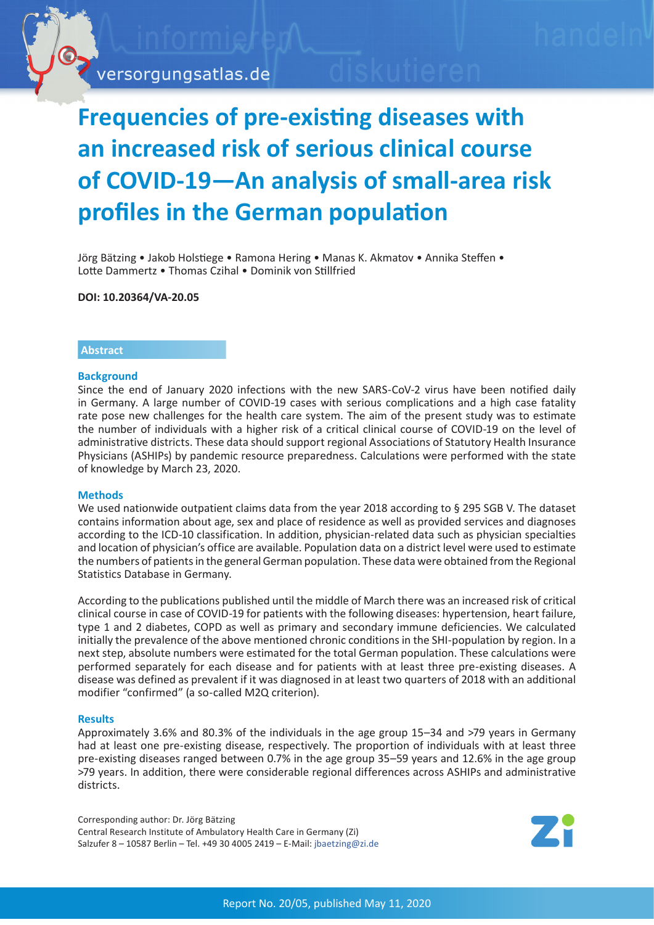

# **Frequencies of pre-existing diseases with an increased risk of serious clinical course of COVID-19—An analysis of small-area risk profiles in the German population**

Jörg Bätzing • Jakob Holstiege • Ramona Hering • Manas K. Akmatov • Annika Steffen • Lotte Dammertz • Thomas Czihal • Dominik von Stillfried

**DOI: 10.20364/VA-20.05**

# **Abstract**

# **Background**

Since the end of January 2020 infections with the new SARS-CoV-2 virus have been notified daily in Germany. A large number of COVID-19 cases with serious complications and a high case fatality rate pose new challenges for the health care system. The aim of the present study was to estimate the number of individuals with a higher risk of a critical clinical course of COVID-19 on the level of administrative districts. These data should support regional Associations of Statutory Health Insurance Physicians (ASHIPs) by pandemic resource preparedness. Calculations were performed with the state of knowledge by March 23, 2020.

# **Methods**

We used nationwide outpatient claims data from the year 2018 according to § 295 SGB V. The dataset contains information about age, sex and place of residence as well as provided services and diagnoses according to the ICD-10 classification. In addition, physician-related data such as physician specialties and location of physician's office are available. Population data on a district level were used to estimate the numbers of patients in the general German population. These data were obtained from the Regional Statistics Database in Germany.

According to the publications published until the middle of March there was an increased risk of critical clinical course in case of COVID-19 for patients with the following diseases: hypertension, heart failure, type 1 and 2 diabetes, COPD as well as primary and secondary immune deficiencies. We calculated initially the prevalence of the above mentioned chronic conditions in the SHI-population by region. In a next step, absolute numbers were estimated for the total German population. These calculations were performed separately for each disease and for patients with at least three pre-existing diseases. A disease was defined as prevalent if it was diagnosed in at least two quarters of 2018 with an additional modifier "confirmed" (a so-called M2Q criterion).

# **Results**

Approximately 3.6% and 80.3% of the individuals in the age group 15–34 and >79 years in Germany had at least one pre-existing disease, respectively. The proportion of individuals with at least three pre-existing diseases ranged between 0.7% in the age group 35–59 years and 12.6% in the age group >79 years. In addition, there were considerable regional differences across ASHIPs and administrative districts.

Corresponding author: Dr. Jörg Bätzing Central Research Institute of Ambulatory Health Care in Germany (Zi) Salzufer 8 – 10587 Berlin – Tel. +49 30 4005 2419 – E-Mail: jbaetzing@zi.de